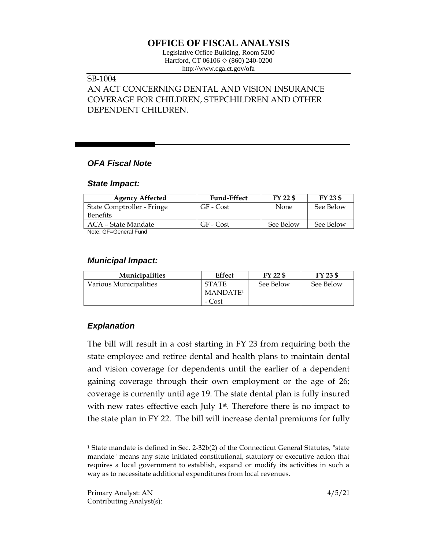# **OFFICE OF FISCAL ANALYSIS**

Legislative Office Building, Room 5200 Hartford, CT 06106 ◇ (860) 240-0200 http://www.cga.ct.gov/ofa

## SB-1004

AN ACT CONCERNING DENTAL AND VISION INSURANCE COVERAGE FOR CHILDREN, STEPCHILDREN AND OTHER DEPENDENT CHILDREN.

### *OFA Fiscal Note*

#### *State Impact:*

| <b>Agency Affected</b>     | <b>Fund-Effect</b> | FY 22 \$    | $FY$ 23 \$ |
|----------------------------|--------------------|-------------|------------|
| State Comptroller - Fringe | GF - Cost          | <b>None</b> | See Below  |
| <b>Benefits</b>            |                    |             |            |
| ACA – State Mandate        | GF - Cost          | See Below   | See Below  |
| $M = 1$                    |                    |             |            |

Note: GF=General Fund

### *Municipal Impact:*

| <b>Municipalities</b>  | Effect               | $FY$ 22 $$$ | FY 23 \$  |
|------------------------|----------------------|-------------|-----------|
| Various Municipalities | <b>STATE</b>         | See Below   | See Below |
|                        | MANDATE <sup>1</sup> |             |           |
|                        | - Cost               |             |           |

# *Explanation*

 $\overline{a}$ 

The bill will result in a cost starting in FY 23 from requiring both the state employee and retiree dental and health plans to maintain dental and vision coverage for dependents until the earlier of a dependent gaining coverage through their own employment or the age of 26; coverage is currently until age 19. The state dental plan is fully insured with new rates effective each July 1<sup>st</sup>. Therefore there is no impact to the state plan in FY 22. The bill will increase dental premiums for fully

<sup>&</sup>lt;sup>1</sup> State mandate is defined in Sec. 2-32b(2) of the Connecticut General Statutes, "state mandate" means any state initiated constitutional, statutory or executive action that requires a local government to establish, expand or modify its activities in such a way as to necessitate additional expenditures from local revenues.